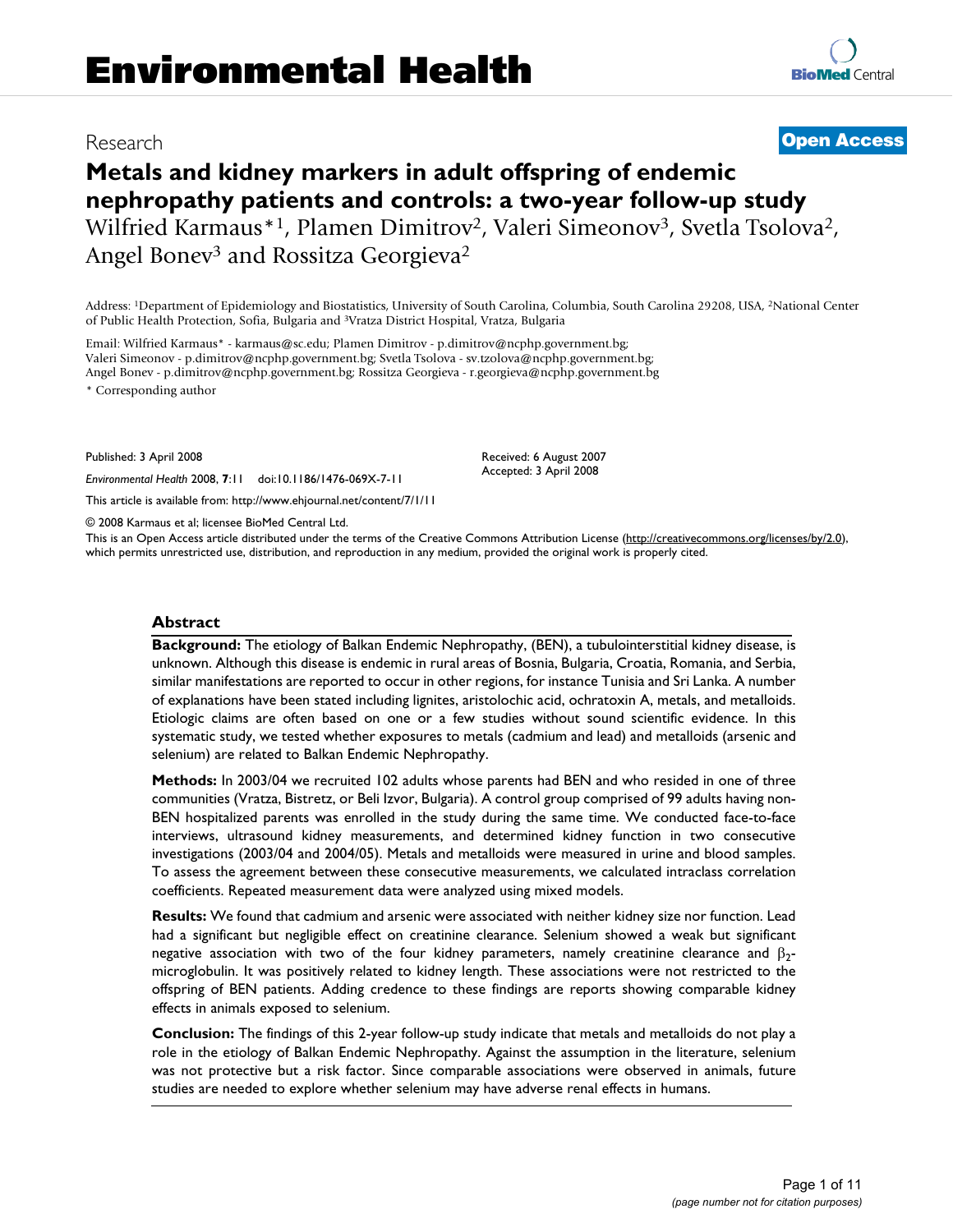## Research **[Open Access](http://www.biomedcentral.com/info/about/charter/)**

# **Metals and kidney markers in adult offspring of endemic nephropathy patients and controls: a two-year follow-up study** Wilfried Karmaus\*1, Plamen Dimitrov2, Valeri Simeonov3, Svetla Tsolova2, Angel Bonev<sup>3</sup> and Rossitza Georgieva<sup>2</sup>

Address: 1Department of Epidemiology and Biostatistics, University of South Carolina, Columbia, South Carolina 29208, USA, 2National Center of Public Health Protection, Sofia, Bulgaria and 3Vratza District Hospital, Vratza, Bulgaria

Email: Wilfried Karmaus\* - karmaus@sc.edu; Plamen Dimitrov - p.dimitrov@ncphp.government.bg; Valeri Simeonov - p.dimitrov@ncphp.government.bg; Svetla Tsolova - sv.tzolova@ncphp.government.bg; Angel Bonev - p.dimitrov@ncphp.government.bg; Rossitza Georgieva - r.georgieva@ncphp.government.bg \* Corresponding author

Published: 3 April 2008

*Environmental Health* 2008, **7**:11 doi:10.1186/1476-069X-7-11 [This article is available from: http://www.ehjournal.net/content/7/1/11](http://www.ehjournal.net/content/7/1/11)

Received: 6 August 2007 Accepted: 3 April 2008

© 2008 Karmaus et al; licensee BioMed Central Ltd.

This is an Open Access article distributed under the terms of the Creative Commons Attribution License [\(http://creativecommons.org/licenses/by/2.0\)](http://creativecommons.org/licenses/by/2.0), which permits unrestricted use, distribution, and reproduction in any medium, provided the original work is properly cited.

#### **Abstract**

**Background:** The etiology of Balkan Endemic Nephropathy, (BEN), a tubulointerstitial kidney disease, is unknown. Although this disease is endemic in rural areas of Bosnia, Bulgaria, Croatia, Romania, and Serbia, similar manifestations are reported to occur in other regions, for instance Tunisia and Sri Lanka. A number of explanations have been stated including lignites, aristolochic acid, ochratoxin A, metals, and metalloids. Etiologic claims are often based on one or a few studies without sound scientific evidence. In this systematic study, we tested whether exposures to metals (cadmium and lead) and metalloids (arsenic and selenium) are related to Balkan Endemic Nephropathy.

**Methods:** In 2003/04 we recruited 102 adults whose parents had BEN and who resided in one of three communities (Vratza, Bistretz, or Beli Izvor, Bulgaria). A control group comprised of 99 adults having non-BEN hospitalized parents was enrolled in the study during the same time. We conducted face-to-face interviews, ultrasound kidney measurements, and determined kidney function in two consecutive investigations (2003/04 and 2004/05). Metals and metalloids were measured in urine and blood samples. To assess the agreement between these consecutive measurements, we calculated intraclass correlation coefficients. Repeated measurement data were analyzed using mixed models.

**Results:** We found that cadmium and arsenic were associated with neither kidney size nor function. Lead had a significant but negligible effect on creatinine clearance. Selenium showed a weak but significant negative association with two of the four kidney parameters, namely creatinine clearance and  $β_2$ microglobulin. It was positively related to kidney length. These associations were not restricted to the offspring of BEN patients. Adding credence to these findings are reports showing comparable kidney effects in animals exposed to selenium.

**Conclusion:** The findings of this 2-year follow-up study indicate that metals and metalloids do not play a role in the etiology of Balkan Endemic Nephropathy. Against the assumption in the literature, selenium was not protective but a risk factor. Since comparable associations were observed in animals, future studies are needed to explore whether selenium may have adverse renal effects in humans.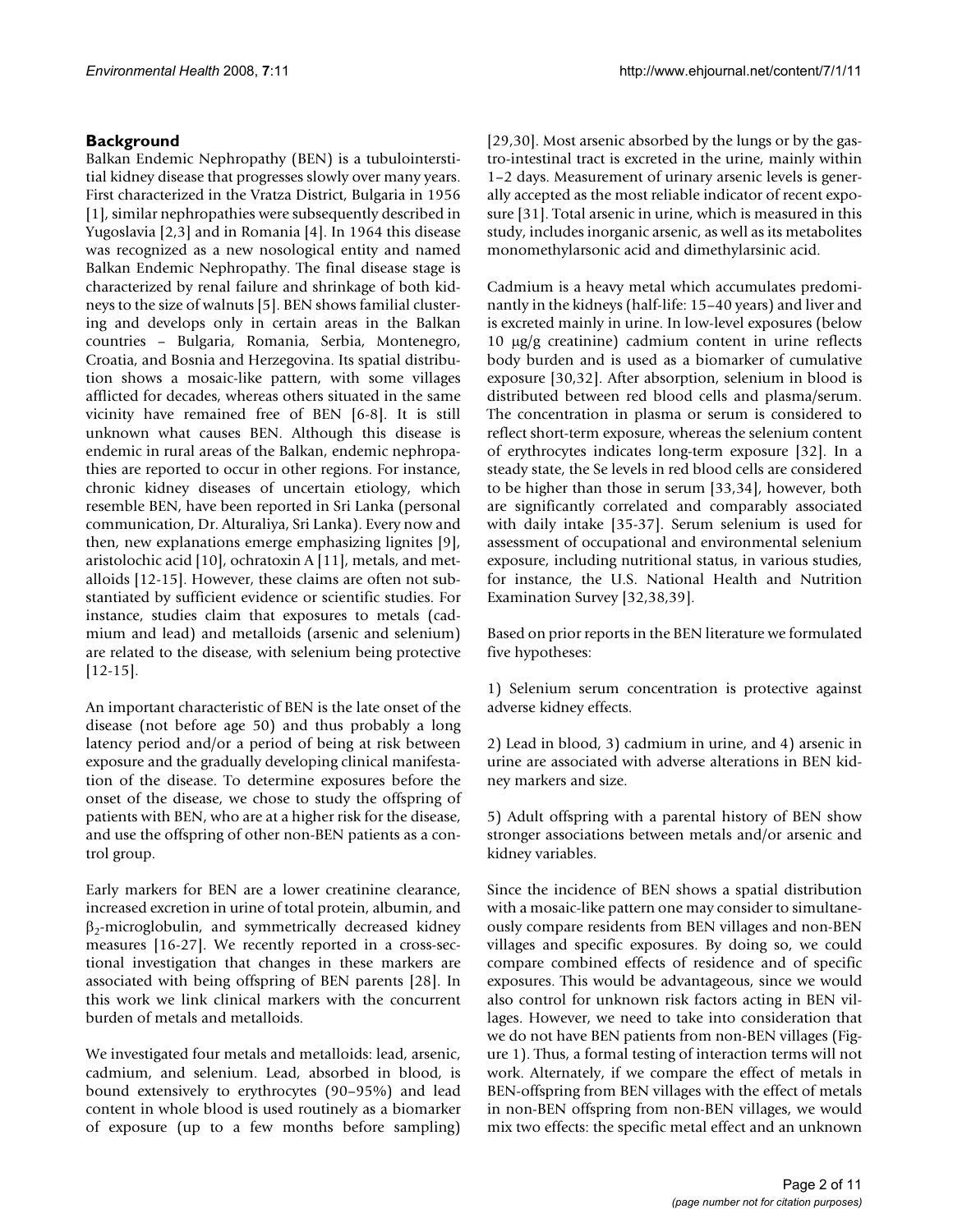## **Background**

Balkan Endemic Nephropathy (BEN) is a tubulointerstitial kidney disease that progresses slowly over many years. First characterized in the Vratza District, Bulgaria in 1956 [1], similar nephropathies were subsequently described in Yugoslavia [2,3] and in Romania [4]. In 1964 this disease was recognized as a new nosological entity and named Balkan Endemic Nephropathy. The final disease stage is characterized by renal failure and shrinkage of both kidneys to the size of walnuts [5]. BEN shows familial clustering and develops only in certain areas in the Balkan countries – Bulgaria, Romania, Serbia, Montenegro, Croatia, and Bosnia and Herzegovina. Its spatial distribution shows a mosaic-like pattern, with some villages afflicted for decades, whereas others situated in the same vicinity have remained free of BEN [6-8]. It is still unknown what causes BEN. Although this disease is endemic in rural areas of the Balkan, endemic nephropathies are reported to occur in other regions. For instance, chronic kidney diseases of uncertain etiology, which resemble BEN, have been reported in Sri Lanka (personal communication, Dr. Alturaliya, Sri Lanka). Every now and then, new explanations emerge emphasizing lignites [9], aristolochic acid [10], ochratoxin A [11], metals, and metalloids [12-15]. However, these claims are often not substantiated by sufficient evidence or scientific studies. For instance, studies claim that exposures to metals (cadmium and lead) and metalloids (arsenic and selenium) are related to the disease, with selenium being protective [12-15].

An important characteristic of BEN is the late onset of the disease (not before age 50) and thus probably a long latency period and/or a period of being at risk between exposure and the gradually developing clinical manifestation of the disease. To determine exposures before the onset of the disease, we chose to study the offspring of patients with BEN, who are at a higher risk for the disease, and use the offspring of other non-BEN patients as a control group.

Early markers for BEN are a lower creatinine clearance, increased excretion in urine of total protein, albumin, and  $β_2$ -microglobulin, and symmetrically decreased kidney measures [16-27]. We recently reported in a cross-sectional investigation that changes in these markers are associated with being offspring of BEN parents [28]. In this work we link clinical markers with the concurrent burden of metals and metalloids.

We investigated four metals and metalloids: lead, arsenic, cadmium, and selenium. Lead, absorbed in blood, is bound extensively to erythrocytes (90–95%) and lead content in whole blood is used routinely as a biomarker of exposure (up to a few months before sampling)

[29,30]. Most arsenic absorbed by the lungs or by the gastro-intestinal tract is excreted in the urine, mainly within 1–2 days. Measurement of urinary arsenic levels is generally accepted as the most reliable indicator of recent exposure [31]. Total arsenic in urine, which is measured in this study, includes inorganic arsenic, as well as its metabolites monomethylarsonic acid and dimethylarsinic acid.

Cadmium is a heavy metal which accumulates predominantly in the kidneys (half-life: 15–40 years) and liver and is excreted mainly in urine. In low-level exposures (below 10 μg/g creatinine) cadmium content in urine reflects body burden and is used as a biomarker of cumulative exposure [30,32]. After absorption, selenium in blood is distributed between red blood cells and plasma/serum. The concentration in plasma or serum is considered to reflect short-term exposure, whereas the selenium content of erythrocytes indicates long-term exposure [32]. In a steady state, the Se levels in red blood cells are considered to be higher than those in serum [33,34], however, both are significantly correlated and comparably associated with daily intake [35-37]. Serum selenium is used for assessment of occupational and environmental selenium exposure, including nutritional status, in various studies, for instance, the U.S. National Health and Nutrition Examination Survey [32,38,39].

Based on prior reports in the BEN literature we formulated five hypotheses:

1) Selenium serum concentration is protective against adverse kidney effects.

2) Lead in blood, 3) cadmium in urine, and 4) arsenic in urine are associated with adverse alterations in BEN kidney markers and size.

5) Adult offspring with a parental history of BEN show stronger associations between metals and/or arsenic and kidney variables.

Since the incidence of BEN shows a spatial distribution with a mosaic-like pattern one may consider to simultaneously compare residents from BEN villages and non-BEN villages and specific exposures. By doing so, we could compare combined effects of residence and of specific exposures. This would be advantageous, since we would also control for unknown risk factors acting in BEN villages. However, we need to take into consideration that we do not have BEN patients from non-BEN villages (Figure 1). Thus, a formal testing of interaction terms will not work. Alternately, if we compare the effect of metals in BEN-offspring from BEN villages with the effect of metals in non-BEN offspring from non-BEN villages, we would mix two effects: the specific metal effect and an unknown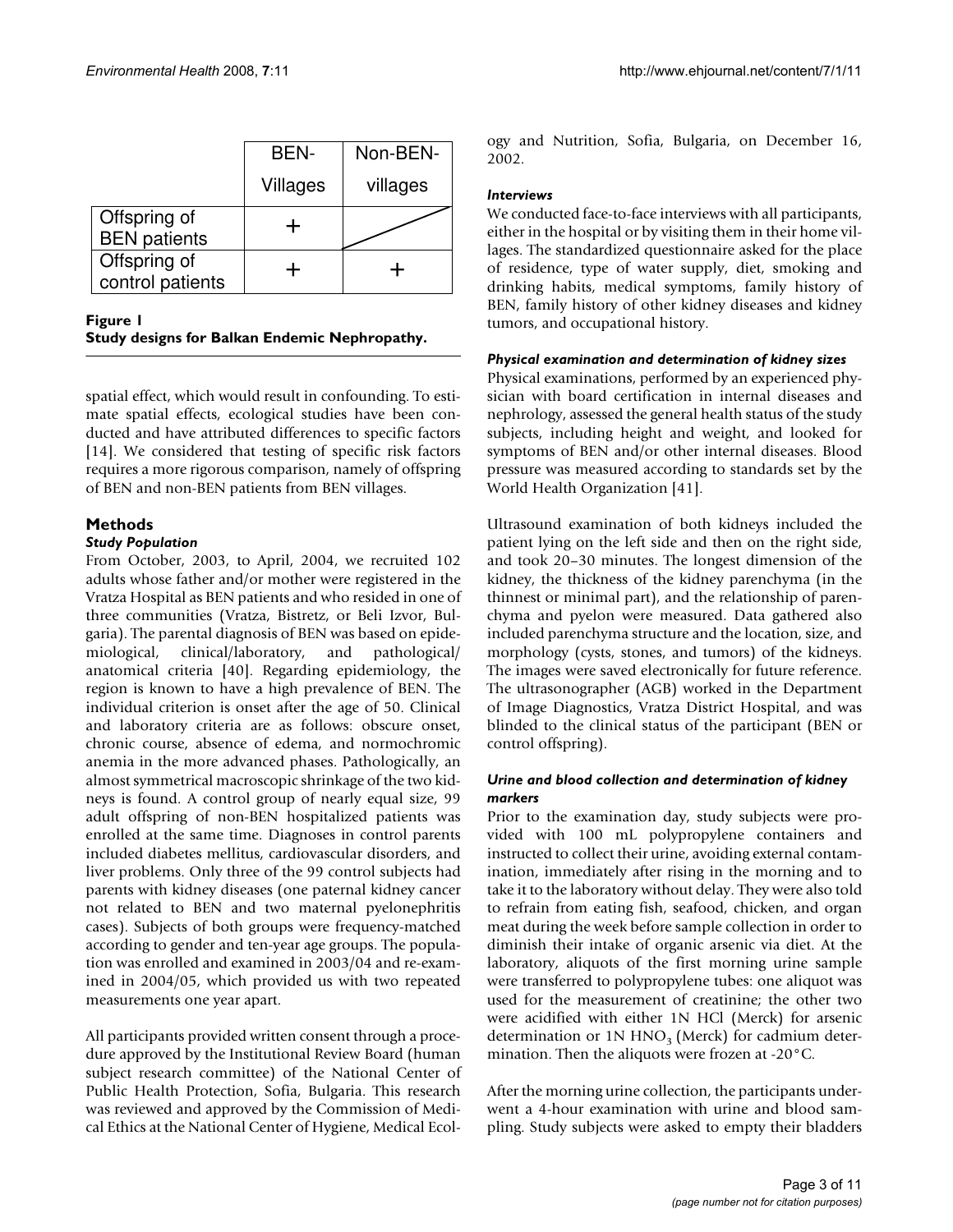|                                     | BEN-     | Non-BEN- |
|-------------------------------------|----------|----------|
|                                     | Villages | villages |
| Offspring of<br><b>BEN</b> patients |          |          |
| Offspring of<br>control patients    |          |          |

**Figure 1 Study designs for Balkan Endemic Nephropathy.**

spatial effect, which would result in confounding. To estimate spatial effects, ecological studies have been conducted and have attributed differences to specific factors [14]. We considered that testing of specific risk factors requires a more rigorous comparison, namely of offspring of BEN and non-BEN patients from BEN villages.

## **Methods**

#### *Study Population*

From October, 2003, to April, 2004, we recruited 102 adults whose father and/or mother were registered in the Vratza Hospital as BEN patients and who resided in one of three communities (Vratza, Bistretz, or Beli Izvor, Bulgaria). The parental diagnosis of BEN was based on epidemiological, clinical/laboratory, and pathological/ anatomical criteria [40]. Regarding epidemiology, the region is known to have a high prevalence of BEN. The individual criterion is onset after the age of 50. Clinical and laboratory criteria are as follows: obscure onset, chronic course, absence of edema, and normochromic anemia in the more advanced phases. Pathologically, an almost symmetrical macroscopic shrinkage of the two kidneys is found. A control group of nearly equal size, 99 adult offspring of non-BEN hospitalized patients was enrolled at the same time. Diagnoses in control parents included diabetes mellitus, cardiovascular disorders, and liver problems. Only three of the 99 control subjects had parents with kidney diseases (one paternal kidney cancer not related to BEN and two maternal pyelonephritis cases). Subjects of both groups were frequency-matched according to gender and ten-year age groups. The population was enrolled and examined in 2003/04 and re-examined in 2004/05, which provided us with two repeated measurements one year apart.

All participants provided written consent through a procedure approved by the Institutional Review Board (human subject research committee) of the National Center of Public Health Protection, Sofia, Bulgaria. This research was reviewed and approved by the Commission of Medical Ethics at the National Center of Hygiene, Medical Ecology and Nutrition, Sofia, Bulgaria, on December 16, 2002.

#### *Interviews*

We conducted face-to-face interviews with all participants, either in the hospital or by visiting them in their home villages. The standardized questionnaire asked for the place of residence, type of water supply, diet, smoking and drinking habits, medical symptoms, family history of BEN, family history of other kidney diseases and kidney tumors, and occupational history.

#### *Physical examination and determination of kidney sizes*

Physical examinations, performed by an experienced physician with board certification in internal diseases and nephrology, assessed the general health status of the study subjects, including height and weight, and looked for symptoms of BEN and/or other internal diseases. Blood pressure was measured according to standards set by the World Health Organization [41].

Ultrasound examination of both kidneys included the patient lying on the left side and then on the right side, and took 20–30 minutes. The longest dimension of the kidney, the thickness of the kidney parenchyma (in the thinnest or minimal part), and the relationship of parenchyma and pyelon were measured. Data gathered also included parenchyma structure and the location, size, and morphology (cysts, stones, and tumors) of the kidneys. The images were saved electronically for future reference. The ultrasonographer (AGB) worked in the Department of Image Diagnostics, Vratza District Hospital, and was blinded to the clinical status of the participant (BEN or control offspring).

#### *Urine and blood collection and determination of kidney markers*

Prior to the examination day, study subjects were provided with 100 mL polypropylene containers and instructed to collect their urine, avoiding external contamination, immediately after rising in the morning and to take it to the laboratory without delay. They were also told to refrain from eating fish, seafood, chicken, and organ meat during the week before sample collection in order to diminish their intake of organic arsenic via diet. At the laboratory, aliquots of the first morning urine sample were transferred to polypropylene tubes: one aliquot was used for the measurement of creatinine; the other two were acidified with either 1N HCl (Merck) for arsenic determination or  $1N HNO<sub>3</sub>$  (Merck) for cadmium determination. Then the aliquots were frozen at -20°C.

After the morning urine collection, the participants underwent a 4-hour examination with urine and blood sampling. Study subjects were asked to empty their bladders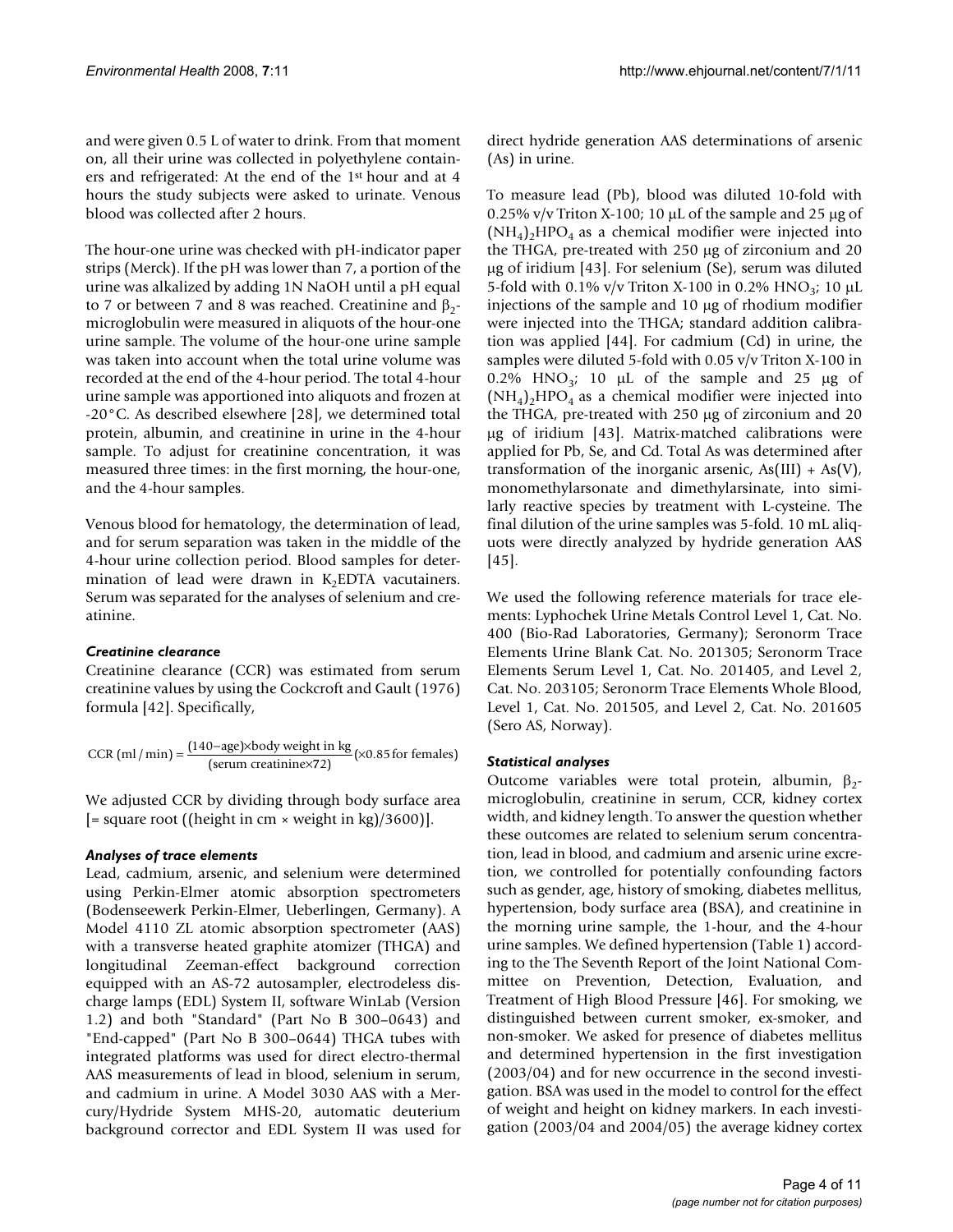and were given 0.5 L of water to drink. From that moment on, all their urine was collected in polyethylene containers and refrigerated: At the end of the 1st hour and at 4 hours the study subjects were asked to urinate. Venous blood was collected after 2 hours.

The hour-one urine was checked with pH-indicator paper strips (Merck). If the pH was lower than 7, a portion of the urine was alkalized by adding 1N NaOH until a pH equal to 7 or between 7 and 8 was reached. Creatinine and  $β_2$ microglobulin were measured in aliquots of the hour-one urine sample. The volume of the hour-one urine sample was taken into account when the total urine volume was recorded at the end of the 4-hour period. The total 4-hour urine sample was apportioned into aliquots and frozen at -20°C. As described elsewhere [28], we determined total protein, albumin, and creatinine in urine in the 4-hour sample. To adjust for creatinine concentration, it was measured three times: in the first morning, the hour-one, and the 4-hour samples.

Venous blood for hematology, the determination of lead, and for serum separation was taken in the middle of the 4-hour urine collection period. Blood samples for determination of lead were drawn in  $K_2EDTA$  vacutainers. Serum was separated for the analyses of selenium and creatinine.

#### *Creatinine clearance*

Creatinine clearance (CCR) was estimated from serum creatinine values by using the Cockcroft and Gault (1976) formula [42]. Specifically,

 $CCR \text{ (ml / min)} = \frac{(140 - \text{age}) \times \text{body weight in kg}}{\text{(serum creationing} \times 72)}$ 140  $\frac{10000}{(72)}$  ( $\times$ 0.85 for females)

We adjusted CCR by dividing through body surface area  $[$  = square root ((height in cm  $\times$  weight in kg)/3600)].

#### *Analyses of trace elements*

Lead, cadmium, arsenic, and selenium were determined using Perkin-Elmer atomic absorption spectrometers (Bodenseewerk Perkin-Elmer, Ueberlingen, Germany). A Model 4110 ZL atomic absorption spectrometer (AAS) with a transverse heated graphite atomizer (THGA) and longitudinal Zeeman-effect background correction equipped with an AS-72 autosampler, electrodeless discharge lamps (EDL) System II, software WinLab (Version 1.2) and both "Standard" (Part No B 300–0643) and "End-capped" (Part No B 300–0644) THGA tubes with integrated platforms was used for direct electro-thermal AAS measurements of lead in blood, selenium in serum, and cadmium in urine. A Model 3030 AAS with a Mercury/Hydride System MHS-20, automatic deuterium background corrector and EDL System II was used for

direct hydride generation AAS determinations of arsenic (As) in urine.

To measure lead (Pb), blood was diluted 10-fold with 0.25% v/v Triton X-100; 10 μL of the sample and 25 μg of  $(NH_4)$ <sub>2</sub>HPO<sub>4</sub> as a chemical modifier were injected into the THGA, pre-treated with 250 μg of zirconium and 20 μg of iridium [43]. For selenium (Se), serum was diluted 5-fold with 0.1% v/v Triton X-100 in 0.2%  $HNO_3$ ; 10 µL injections of the sample and 10 μg of rhodium modifier were injected into the THGA; standard addition calibration was applied [44]. For cadmium (Cd) in urine, the samples were diluted 5-fold with 0.05 v/v Triton X-100 in 0.2% HNO<sub>3</sub>; 10 μL of the sample and 25 μg of  $(NH_4)$ <sub>2</sub>HPO<sub>4</sub> as a chemical modifier were injected into the THGA, pre-treated with 250 μg of zirconium and 20 μg of iridium [43]. Matrix-matched calibrations were applied for Pb, Se, and Cd. Total As was determined after transformation of the inorganic arsenic,  $As(III) + As(V)$ , monomethylarsonate and dimethylarsinate, into similarly reactive species by treatment with L-cysteine. The final dilution of the urine samples was 5-fold. 10 mL aliquots were directly analyzed by hydride generation AAS [45].

We used the following reference materials for trace elements: Lyphochek Urine Metals Control Level 1, Cat. No. 400 (Bio-Rad Laboratories, Germany); Seronorm Trace Elements Urine Blank Cat. No. 201305; Seronorm Trace Elements Serum Level 1, Cat. No. 201405, and Level 2, Cat. No. 203105; Seronorm Trace Elements Whole Blood, Level 1, Cat. No. 201505, and Level 2, Cat. No. 201605 (Sero AS, Norway).

#### *Statistical analyses*

Outcome variables were total protein, albumin,  $β_2$ microglobulin, creatinine in serum, CCR, kidney cortex width, and kidney length. To answer the question whether these outcomes are related to selenium serum concentration, lead in blood, and cadmium and arsenic urine excretion, we controlled for potentially confounding factors such as gender, age, history of smoking, diabetes mellitus, hypertension, body surface area (BSA), and creatinine in the morning urine sample, the 1-hour, and the 4-hour urine samples. We defined hypertension (Table 1) according to the The Seventh Report of the Joint National Committee on Prevention, Detection, Evaluation, and Treatment of High Blood Pressure [46]. For smoking, we distinguished between current smoker, ex-smoker, and non-smoker. We asked for presence of diabetes mellitus and determined hypertension in the first investigation (2003/04) and for new occurrence in the second investigation. BSA was used in the model to control for the effect of weight and height on kidney markers. In each investigation (2003/04 and 2004/05) the average kidney cortex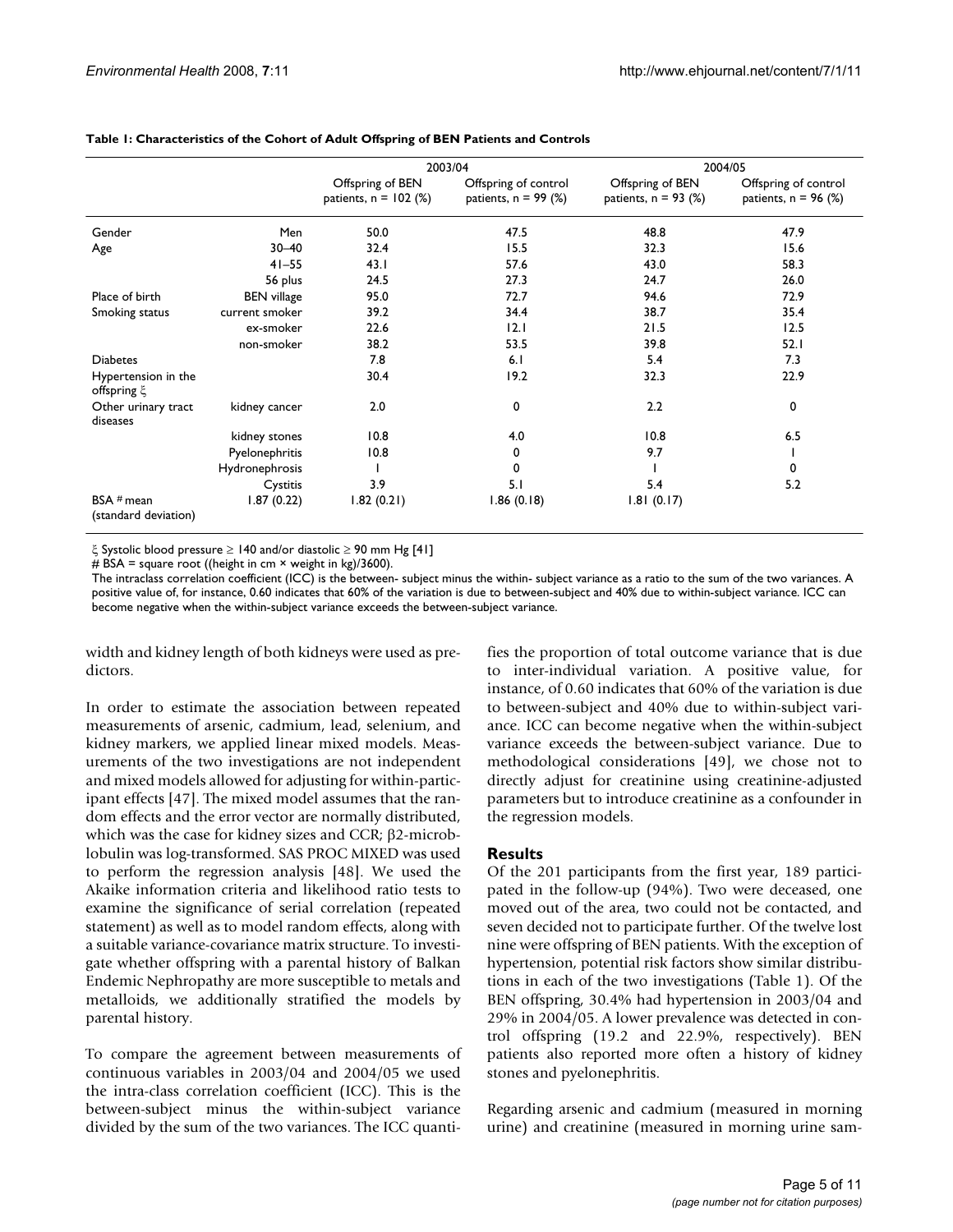|                                      |                    |                                             | 2003/04                                        | 2004/05                                    |                                                |  |  |
|--------------------------------------|--------------------|---------------------------------------------|------------------------------------------------|--------------------------------------------|------------------------------------------------|--|--|
|                                      |                    | Offspring of BEN<br>patients, $n = 102$ (%) | Offspring of control<br>patients, $n = 99$ (%) | Offspring of BEN<br>patients, $n = 93$ (%) | Offspring of control<br>patients, $n = 96$ (%) |  |  |
| Gender                               | Men                | 50.0                                        | 47.5                                           | 48.8                                       | 47.9                                           |  |  |
| Age                                  | $30 - 40$          | 32.4                                        | 15.5                                           | 32.3                                       | 15.6                                           |  |  |
|                                      | $41 - 55$          | 43.1                                        | 57.6                                           | 43.0                                       | 58.3                                           |  |  |
|                                      | 56 plus            | 24.5                                        | 27.3                                           | 24.7                                       | 26.0                                           |  |  |
| Place of birth                       | <b>BEN</b> village | 95.0                                        | 72.7                                           | 94.6                                       | 72.9                                           |  |  |
| Smoking status                       | current smoker     | 39.2                                        | 34.4                                           | 38.7                                       | 35.4                                           |  |  |
|                                      | ex-smoker          | 22.6                                        | 2.1                                            | 21.5                                       | 12.5                                           |  |  |
|                                      | non-smoker         | 38.2                                        | 53.5                                           | 39.8                                       | 52.1                                           |  |  |
| <b>Diabetes</b>                      |                    | 7.8                                         | 6.1                                            | 5.4                                        | 7.3                                            |  |  |
| Hypertension in the<br>offspring ξ   |                    | 30.4                                        | 19.2                                           | 32.3                                       | 22.9                                           |  |  |
| Other urinary tract<br>diseases      | kidney cancer      | 2.0                                         | 0                                              | 2.2                                        | 0                                              |  |  |
|                                      | kidney stones      | 10.8                                        | 4.0                                            | 10.8                                       | 6.5                                            |  |  |
|                                      | Pyelonephritis     | 10.8                                        | 0                                              | 9.7                                        |                                                |  |  |
|                                      | Hydronephrosis     |                                             | 0                                              |                                            | 0                                              |  |  |
|                                      | Cystitis           | 3.9                                         | 5.1                                            | 5.4                                        | 5.2                                            |  |  |
| BSA $#$ mean<br>(standard deviation) | 1.87(0.22)         | 1.82(0.21)                                  | 1.86(0.18)                                     | 1.81(0.17)                                 |                                                |  |  |

#### **Table 1: Characteristics of the Cohort of Adult Offspring of BEN Patients and Controls**

ξ Systolic blood pressure ≥ 140 and/or diastolic ≥ 90 mm Hg [41]

# BSA = square root ((height in cm × weight in kg)/3600).

The intraclass correlation coefficient (ICC) is the between- subject minus the within- subject variance as a ratio to the sum of the two variances. A positive value of, for instance, 0.60 indicates that 60% of the variation is due to between-subject and 40% due to within-subject variance. ICC can become negative when the within-subject variance exceeds the between-subject variance.

width and kidney length of both kidneys were used as predictors.

In order to estimate the association between repeated measurements of arsenic, cadmium, lead, selenium, and kidney markers, we applied linear mixed models. Measurements of the two investigations are not independent and mixed models allowed for adjusting for within-participant effects [47]. The mixed model assumes that the random effects and the error vector are normally distributed, which was the case for kidney sizes and CCR; β2-microblobulin was log-transformed. SAS PROC MIXED was used to perform the regression analysis [48]. We used the Akaike information criteria and likelihood ratio tests to examine the significance of serial correlation (repeated statement) as well as to model random effects, along with a suitable variance-covariance matrix structure. To investigate whether offspring with a parental history of Balkan Endemic Nephropathy are more susceptible to metals and metalloids, we additionally stratified the models by parental history.

To compare the agreement between measurements of continuous variables in 2003/04 and 2004/05 we used the intra-class correlation coefficient (ICC). This is the between-subject minus the within-subject variance divided by the sum of the two variances. The ICC quantifies the proportion of total outcome variance that is due to inter-individual variation. A positive value, for instance, of 0.60 indicates that 60% of the variation is due to between-subject and 40% due to within-subject variance. ICC can become negative when the within-subject variance exceeds the between-subject variance. Due to methodological considerations [49], we chose not to directly adjust for creatinine using creatinine-adjusted parameters but to introduce creatinine as a confounder in the regression models.

#### **Results**

Of the 201 participants from the first year, 189 participated in the follow-up (94%). Two were deceased, one moved out of the area, two could not be contacted, and seven decided not to participate further. Of the twelve lost nine were offspring of BEN patients. With the exception of hypertension, potential risk factors show similar distributions in each of the two investigations (Table 1). Of the BEN offspring, 30.4% had hypertension in 2003/04 and 29% in 2004/05. A lower prevalence was detected in control offspring (19.2 and 22.9%, respectively). BEN patients also reported more often a history of kidney stones and pyelonephritis.

Regarding arsenic and cadmium (measured in morning urine) and creatinine (measured in morning urine sam-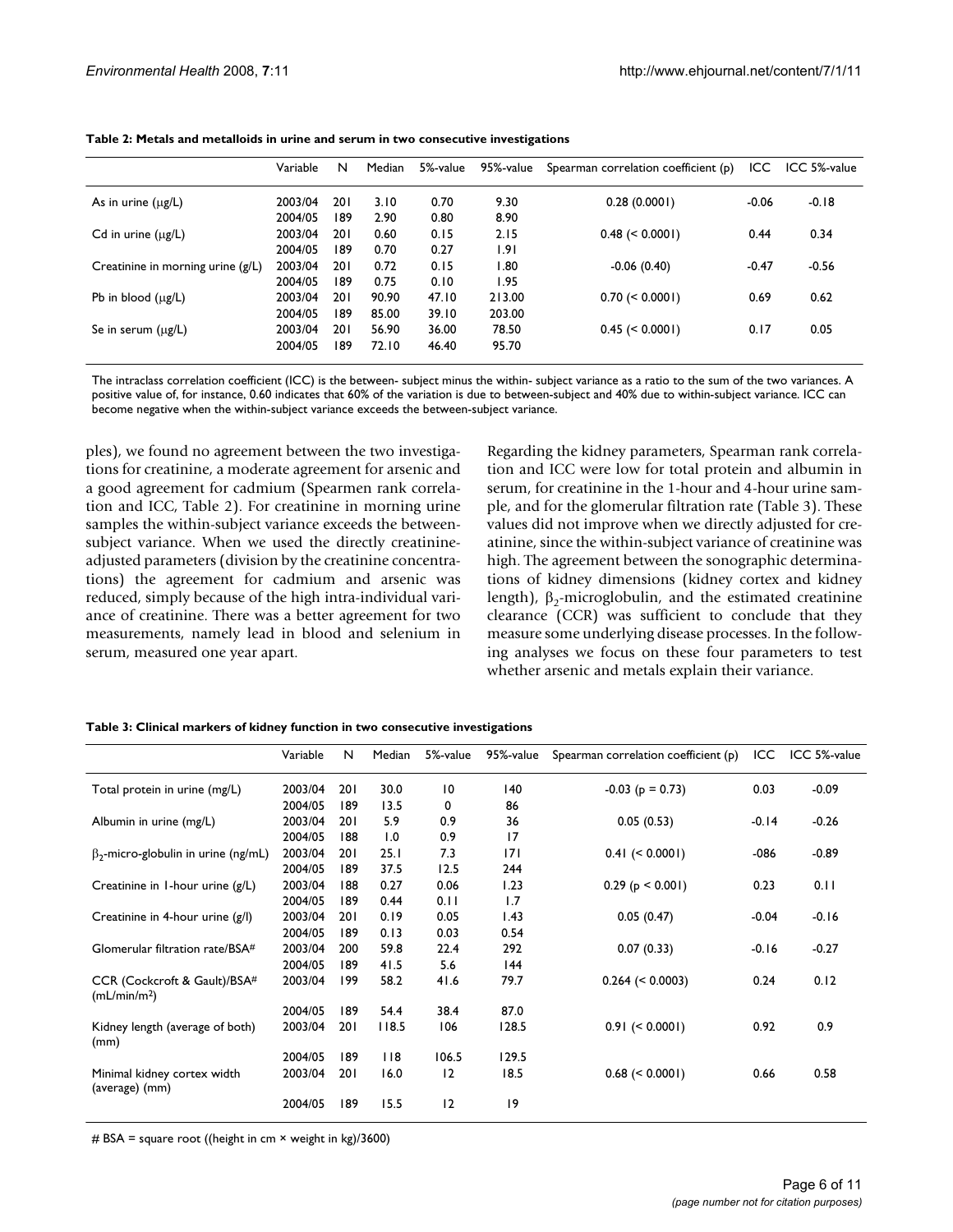|                                     | Variable | N   | Median | 5%-value | 95%-value | Spearman correlation coefficient (p) | ICC     | ICC 5%-value |
|-------------------------------------|----------|-----|--------|----------|-----------|--------------------------------------|---------|--------------|
| As in urine $(\mu g/L)$             | 2003/04  | 201 | 3.10   | 0.70     | 9.30      | 0.28(0.0001)                         | $-0.06$ | $-0.18$      |
|                                     | 2004/05  | 189 | 2.90   | 0.80     | 8.90      |                                      |         |              |
| Cd in urine $(\mu g/L)$             | 2003/04  | 201 | 0.60   | 0.15     | 2.15      | $0.48 \leq 0.0001$                   | 0.44    | 0.34         |
|                                     | 2004/05  | 189 | 0.70   | 0.27     | 1.91      |                                      |         |              |
| Creatinine in morning urine $(g/L)$ | 2003/04  | 201 | 0.72   | 0.15     | 1.80      | $-0.06(0.40)$                        | $-0.47$ | $-0.56$      |
|                                     | 2004/05  | 189 | 0.75   | 0.10     | 1.95      |                                      |         |              |
| Pb in blood $(\mu g/L)$             | 2003/04  | 201 | 90.90  | 47.10    | 213.00    | $0.70 \leq 0.0001$                   | 0.69    | 0.62         |
|                                     | 2004/05  | 189 | 85.00  | 39.10    | 203.00    |                                      |         |              |
| Se in serum $(\mu g/L)$             | 2003/04  | 201 | 56.90  | 36.00    | 78.50     | $0.45 \leq 0.0001$                   | 0.17    | 0.05         |
|                                     | 2004/05  | 189 | 72.10  | 46.40    | 95.70     |                                      |         |              |

**Table 2: Metals and metalloids in urine and serum in two consecutive investigations**

The intraclass correlation coefficient (ICC) is the between- subject minus the within- subject variance as a ratio to the sum of the two variances. A positive value of, for instance, 0.60 indicates that 60% of the variation is due to between-subject and 40% due to within-subject variance. ICC can become negative when the within-subject variance exceeds the between-subject variance.

ples), we found no agreement between the two investigations for creatinine, a moderate agreement for arsenic and a good agreement for cadmium (Spearmen rank correlation and ICC, Table 2). For creatinine in morning urine samples the within-subject variance exceeds the betweensubject variance. When we used the directly creatinineadjusted parameters (division by the creatinine concentrations) the agreement for cadmium and arsenic was reduced, simply because of the high intra-individual variance of creatinine. There was a better agreement for two measurements, namely lead in blood and selenium in serum, measured one year apart.

Regarding the kidney parameters, Spearman rank correlation and ICC were low for total protein and albumin in serum, for creatinine in the 1-hour and 4-hour urine sample, and for the glomerular filtration rate (Table 3). These values did not improve when we directly adjusted for creatinine, since the within-subject variance of creatinine was high. The agreement between the sonographic determinations of kidney dimensions (kidney cortex and kidney length),  $\beta_2$ -microglobulin, and the estimated creatinine clearance (CCR) was sufficient to conclude that they measure some underlying disease processes. In the following analyses we focus on these four parameters to test whether arsenic and metals explain their variance.

|                                                          | Variable | N          | Median | 5%-value | 95%-value | Spearman correlation coefficient (p) |         | ICC 5%-value |
|----------------------------------------------------------|----------|------------|--------|----------|-----------|--------------------------------------|---------|--------------|
| Total protein in urine (mg/L)                            | 2003/04  | 201        | 30.0   | 10       | 140       | $-0.03$ (p = 0.73)                   | 0.03    | $-0.09$      |
|                                                          | 2004/05  | 189        | 13.5   | 0        | 86        |                                      |         |              |
| Albumin in urine (mg/L)                                  | 2003/04  | <b>201</b> | 5.9    | 0.9      | 36        | 0.05(0.53)                           | $-0.14$ | $-0.26$      |
|                                                          | 2004/05  | 188        | 1.0    | 0.9      | 17        |                                      |         |              |
| $\beta_2$ -micro-globulin in urine (ng/mL)               | 2003/04  | <b>201</b> | 25.1   | 7.3      | 171       | $0.41 \leq 0.0001$                   | $-086$  | $-0.89$      |
|                                                          | 2004/05  | 189        | 37.5   | 12.5     | 244       |                                      |         |              |
| Creatinine in 1-hour urine $(g/L)$                       | 2003/04  | 188        | 0.27   | 0.06     | 1.23      | $0.29$ (p < 0.001)                   | 0.23    | 0.11         |
|                                                          | 2004/05  | 189        | 0.44   | 0.11     | 1.7       |                                      |         |              |
| Creatinine in 4-hour urine (g/l)                         | 2003/04  | <b>201</b> | 0.19   | 0.05     | 1.43      | 0.05(0.47)                           | $-0.04$ | $-0.16$      |
|                                                          | 2004/05  | 189        | 0.13   | 0.03     | 0.54      |                                      |         |              |
| Glomerular filtration rate/BSA#                          | 2003/04  | 200        | 59.8   | 22.4     | 292       | 0.07(0.33)                           | $-0.16$ | $-0.27$      |
|                                                          | 2004/05  | 189        | 41.5   | 5.6      | 44        |                                      |         |              |
| CCR (Cockcroft & Gault)/BSA#<br>(mL/min/m <sup>2</sup> ) | 2003/04  | 199        | 58.2   | 41.6     | 79.7      | $0.264 \le 0.0003$                   | 0.24    | 0.12         |
|                                                          | 2004/05  | 189        | 54.4   | 38.4     | 87.0      |                                      |         |              |
| Kidney length (average of both)<br>(mm)                  | 2003/04  | 201        | 118.5  | 106      | 128.5     | 0.91 (< 0.0001)                      | 0.92    | 0.9          |
|                                                          | 2004/05  | 189        | 118    | 106.5    | 129.5     |                                      |         |              |
| Minimal kidney cortex width<br>(average) (mm)            | 2003/04  | 201        | 16.0   | 12       | 18.5      | $0.68$ (< 0.0001)                    | 0.66    | 0.58         |
|                                                          | 2004/05  | 189        | 15.5   | 12       | 9         |                                      |         |              |

**Table 3: Clinical markers of kidney function in two consecutive investigations**

# BSA = square root ((height in cm × weight in kg)/3600)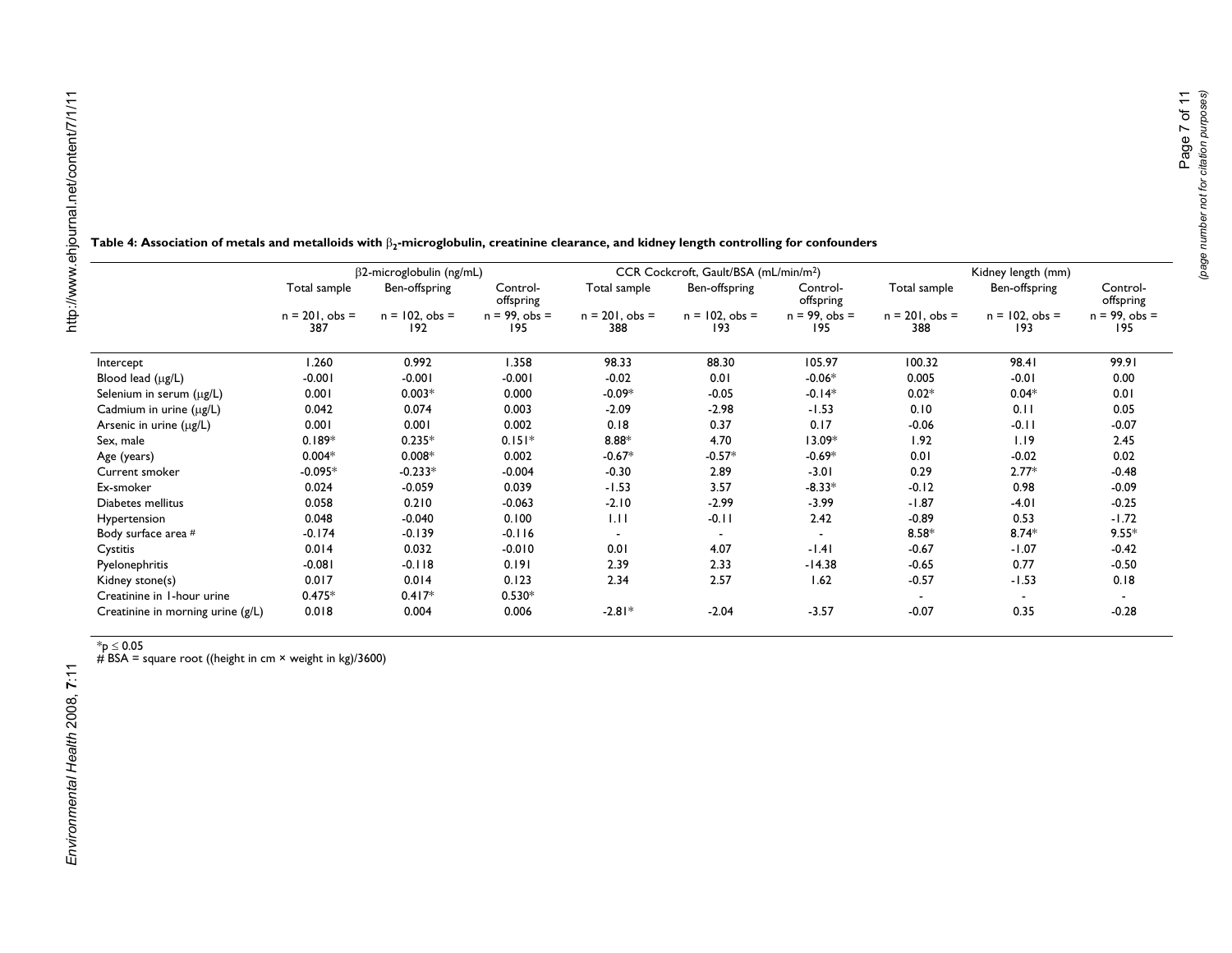| Table 4: Association of metals and metalloids with $\beta_2$ -microglobulin, creatinine clearance, and kidney length controlling for confounders |  |
|--------------------------------------------------------------------------------------------------------------------------------------------------|--|
|                                                                                                                                                  |  |

|                                   | $\beta$ 2-microglobulin (ng/mL) |                          |                         | CCR Cockcroft, Gault/BSA (mL/min/m <sup>2</sup> ) |                          |                          | Kidney length (mm)       |                          |                         |
|-----------------------------------|---------------------------------|--------------------------|-------------------------|---------------------------------------------------|--------------------------|--------------------------|--------------------------|--------------------------|-------------------------|
|                                   | Total sample                    | Ben-offspring            | Control-<br>offspring   | Total sample                                      | Ben-offspring            | Control-<br>offspring    | Total sample             | Ben-offspring            | Control-<br>offspring   |
|                                   | $n = 201$ , obs =<br>387        | $n = 102$ , obs =<br>192 | $n = 99$ , obs =<br>195 | $n = 201$ , obs =<br>388                          | $n = 102$ , obs =<br>193 | $n = 99$ , obs =<br>195  | $n = 201$ , obs =<br>388 | $n = 102$ , obs =<br>193 | $n = 99$ , obs =<br>195 |
| Intercept                         | 1.260                           | 0.992                    | 1.358                   | 98.33                                             | 88.30                    | 105.97                   | 100.32                   | 98.41                    | 99.91                   |
| Blood lead $(\mu g/L)$            | $-0.001$                        | $-0.001$                 | $-0.001$                | $-0.02$                                           | 0.01                     | $-0.06*$                 | 0.005                    | $-0.01$                  | 0.00                    |
| Selenium in serum (µg/L)          | 0.001                           | $0.003*$                 | 0.000                   | $-0.09*$                                          | $-0.05$                  | $-0.14*$                 | $0.02*$                  | $0.04*$                  | 0.01                    |
| Cadmium in urine (µg/L)           | 0.042                           | 0.074                    | 0.003                   | $-2.09$                                           | $-2.98$                  | $-1.53$                  | 0.10                     | 0.11                     | 0.05                    |
| Arsenic in urine (µg/L)           | 0.001                           | 0.001                    | 0.002                   | 0.18                                              | 0.37                     | 0.17                     | $-0.06$                  | $-0.11$                  | $-0.07$                 |
| Sex, male                         | $0.189*$                        | $0.235*$                 | $0.151*$                | $8.88*$                                           | 4.70                     | $13.09*$                 | 1.92                     | 1.19                     | 2.45                    |
| Age (years)                       | $0.004*$                        | $0.008*$                 | 0.002                   | $-0.67*$                                          | $-0.57*$                 | $-0.69*$                 | 0.01                     | $-0.02$                  | 0.02                    |
| Current smoker                    | $-0.095*$                       | $-0.233*$                | $-0.004$                | $-0.30$                                           | 2.89                     | $-3.01$                  | 0.29                     | $2.77*$                  | $-0.48$                 |
| Ex-smoker                         | 0.024                           | $-0.059$                 | 0.039                   | $-1.53$                                           | 3.57                     | $-8.33*$                 | $-0.12$                  | 0.98                     | $-0.09$                 |
| Diabetes mellitus                 | 0.058                           | 0.210                    | $-0.063$                | $-2.10$                                           | $-2.99$                  | $-3.99$                  | $-1.87$                  | $-4.01$                  | $-0.25$                 |
| Hypertension                      | 0.048                           | $-0.040$                 | 0.100                   | 1.11                                              | $-0.11$                  | 2.42                     | $-0.89$                  | 0.53                     | $-1.72$                 |
| Body surface area #               | $-0.174$                        | $-0.139$                 | $-0.116$                | $\overline{a}$                                    | $\overline{\phantom{a}}$ | $\overline{\phantom{a}}$ | $8.58*$                  | $8.74*$                  | $9.55*$                 |
| Cystitis                          | 0.014                           | 0.032                    | $-0.010$                | 0.01                                              | 4.07                     | $-1.41$                  | $-0.67$                  | $-1.07$                  | $-0.42$                 |
| Pyelonephritis                    | $-0.081$                        | $-0.118$                 | 0.191                   | 2.39                                              | 2.33                     | $-14.38$                 | $-0.65$                  | 0.77                     | $-0.50$                 |
| Kidney stone(s)                   | 0.017                           | 0.014                    | 0.123                   | 2.34                                              | 2.57                     | 1.62                     | $-0.57$                  | $-1.53$                  | 0.18                    |
| Creatinine in 1-hour urine        | $0.475*$                        | $0.417*$                 | $0.530*$                |                                                   |                          |                          | $\overline{\phantom{a}}$ | $\overline{\phantom{a}}$ | $\sim$                  |
| Creatinine in morning urine (g/L) | 0.018                           | 0.004                    | 0.006                   | $-2.81*$                                          | $-2.04$                  | $-3.57$                  | $-0.07$                  | 0.35                     | $-0.28$                 |

\*p ≤ 0.05 # BSA = square root ((height in cm × weight in kg)/3600)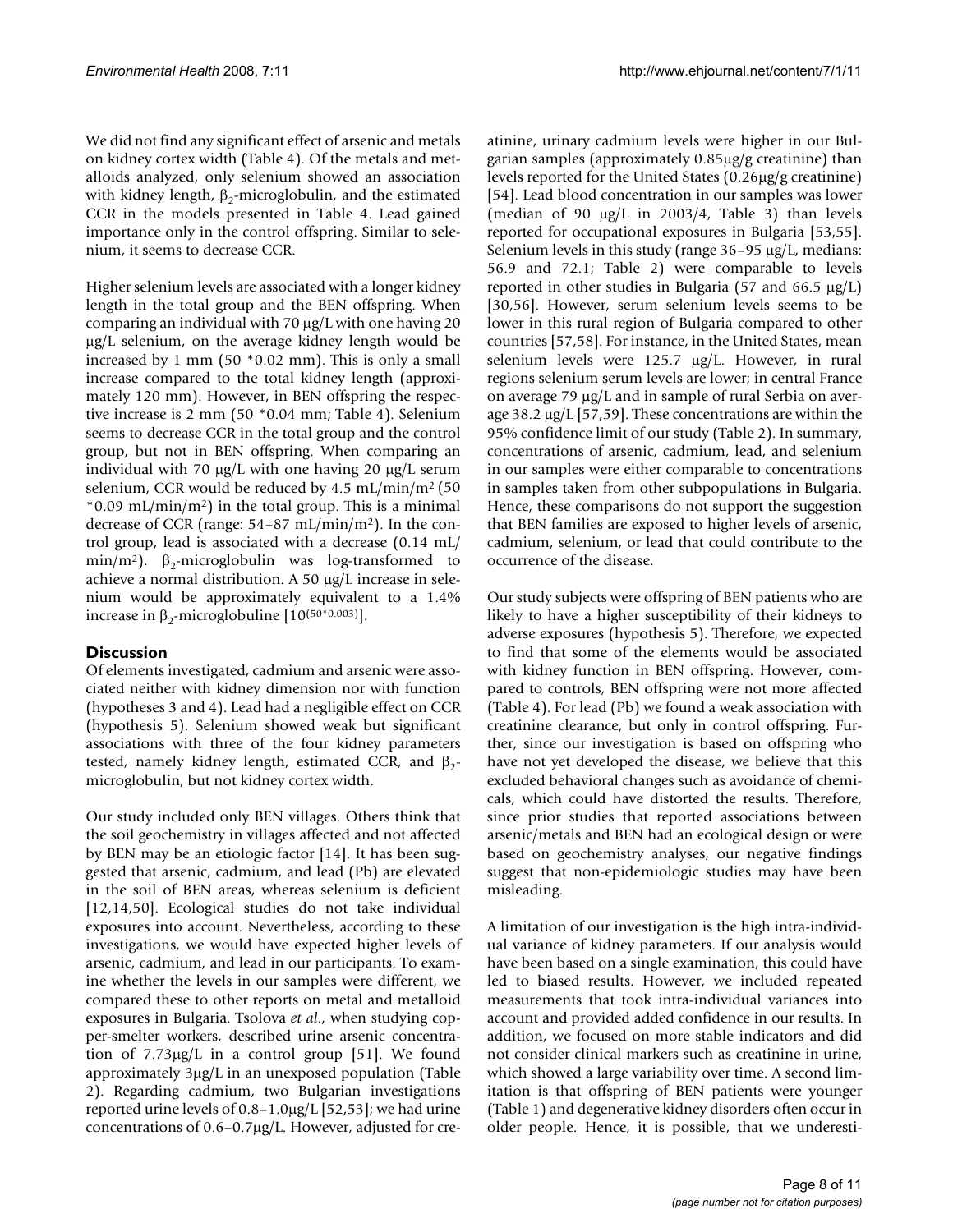We did not find any significant effect of arsenic and metals on kidney cortex width (Table 4). Of the metals and metalloids analyzed, only selenium showed an association with kidney length,  $β_2$ -microglobulin, and the estimated CCR in the models presented in Table 4. Lead gained importance only in the control offspring. Similar to selenium, it seems to decrease CCR.

Higher selenium levels are associated with a longer kidney length in the total group and the BEN offspring. When comparing an individual with 70 μg/L with one having 20 μg/L selenium, on the average kidney length would be increased by 1 mm (50 \*0.02 mm). This is only a small increase compared to the total kidney length (approximately 120 mm). However, in BEN offspring the respective increase is 2 mm (50 \*0.04 mm; Table 4). Selenium seems to decrease CCR in the total group and the control group, but not in BEN offspring. When comparing an individual with 70 μg/L with one having 20 μg/L serum selenium, CCR would be reduced by 4.5 mL/min/m2 (50  $*0.09$  mL/min/m<sup>2</sup>) in the total group. This is a minimal decrease of CCR (range: 54–87 mL/min/m2). In the control group, lead is associated with a decrease (0.14 mL/ min/m<sup>2</sup>). β<sub>2</sub>-microglobulin was log-transformed to achieve a normal distribution. A 50 μg/L increase in selenium would be approximately equivalent to a 1.4% increase in  $β_2$ -microglobuline [10<sup>(50\*0.003)</sup>].

## **Discussion**

Of elements investigated, cadmium and arsenic were associated neither with kidney dimension nor with function (hypotheses 3 and 4). Lead had a negligible effect on CCR (hypothesis 5). Selenium showed weak but significant associations with three of the four kidney parameters tested, namely kidney length, estimated CCR, and  $\beta_2$ microglobulin, but not kidney cortex width.

Our study included only BEN villages. Others think that the soil geochemistry in villages affected and not affected by BEN may be an etiologic factor [14]. It has been suggested that arsenic, cadmium, and lead (Pb) are elevated in the soil of BEN areas, whereas selenium is deficient [12,14,50]. Ecological studies do not take individual exposures into account. Nevertheless, according to these investigations, we would have expected higher levels of arsenic, cadmium, and lead in our participants. To examine whether the levels in our samples were different, we compared these to other reports on metal and metalloid exposures in Bulgaria. Tsolova *et al*., when studying copper-smelter workers, described urine arsenic concentration of 7.73μg/L in a control group [51]. We found approximately 3μg/L in an unexposed population (Table 2). Regarding cadmium, two Bulgarian investigations reported urine levels of 0.8–1.0μg/L [52,53]; we had urine concentrations of 0.6–0.7μg/L. However, adjusted for creatinine, urinary cadmium levels were higher in our Bulgarian samples (approximately 0.85μg/g creatinine) than levels reported for the United States (0.26μg/g creatinine) [54]. Lead blood concentration in our samples was lower (median of 90 μg/L in 2003/4, Table 3) than levels reported for occupational exposures in Bulgaria [53,55]. Selenium levels in this study (range 36–95 μg/L, medians: 56.9 and 72.1; Table 2) were comparable to levels reported in other studies in Bulgaria (57 and 66.5 μg/L) [30,56]. However, serum selenium levels seems to be lower in this rural region of Bulgaria compared to other countries [57,58]. For instance, in the United States, mean selenium levels were 125.7 μg/L. However, in rural regions selenium serum levels are lower; in central France on average 79 μg/L and in sample of rural Serbia on average 38.2 μg/L [57,59]. These concentrations are within the 95% confidence limit of our study (Table 2). In summary, concentrations of arsenic, cadmium, lead, and selenium in our samples were either comparable to concentrations in samples taken from other subpopulations in Bulgaria. Hence, these comparisons do not support the suggestion that BEN families are exposed to higher levels of arsenic, cadmium, selenium, or lead that could contribute to the occurrence of the disease.

Our study subjects were offspring of BEN patients who are likely to have a higher susceptibility of their kidneys to adverse exposures (hypothesis 5). Therefore, we expected to find that some of the elements would be associated with kidney function in BEN offspring. However, compared to controls, BEN offspring were not more affected (Table 4). For lead (Pb) we found a weak association with creatinine clearance, but only in control offspring. Further, since our investigation is based on offspring who have not yet developed the disease, we believe that this excluded behavioral changes such as avoidance of chemicals, which could have distorted the results. Therefore, since prior studies that reported associations between arsenic/metals and BEN had an ecological design or were based on geochemistry analyses, our negative findings suggest that non-epidemiologic studies may have been misleading.

A limitation of our investigation is the high intra-individual variance of kidney parameters. If our analysis would have been based on a single examination, this could have led to biased results. However, we included repeated measurements that took intra-individual variances into account and provided added confidence in our results. In addition, we focused on more stable indicators and did not consider clinical markers such as creatinine in urine, which showed a large variability over time. A second limitation is that offspring of BEN patients were younger (Table 1) and degenerative kidney disorders often occur in older people. Hence, it is possible, that we underesti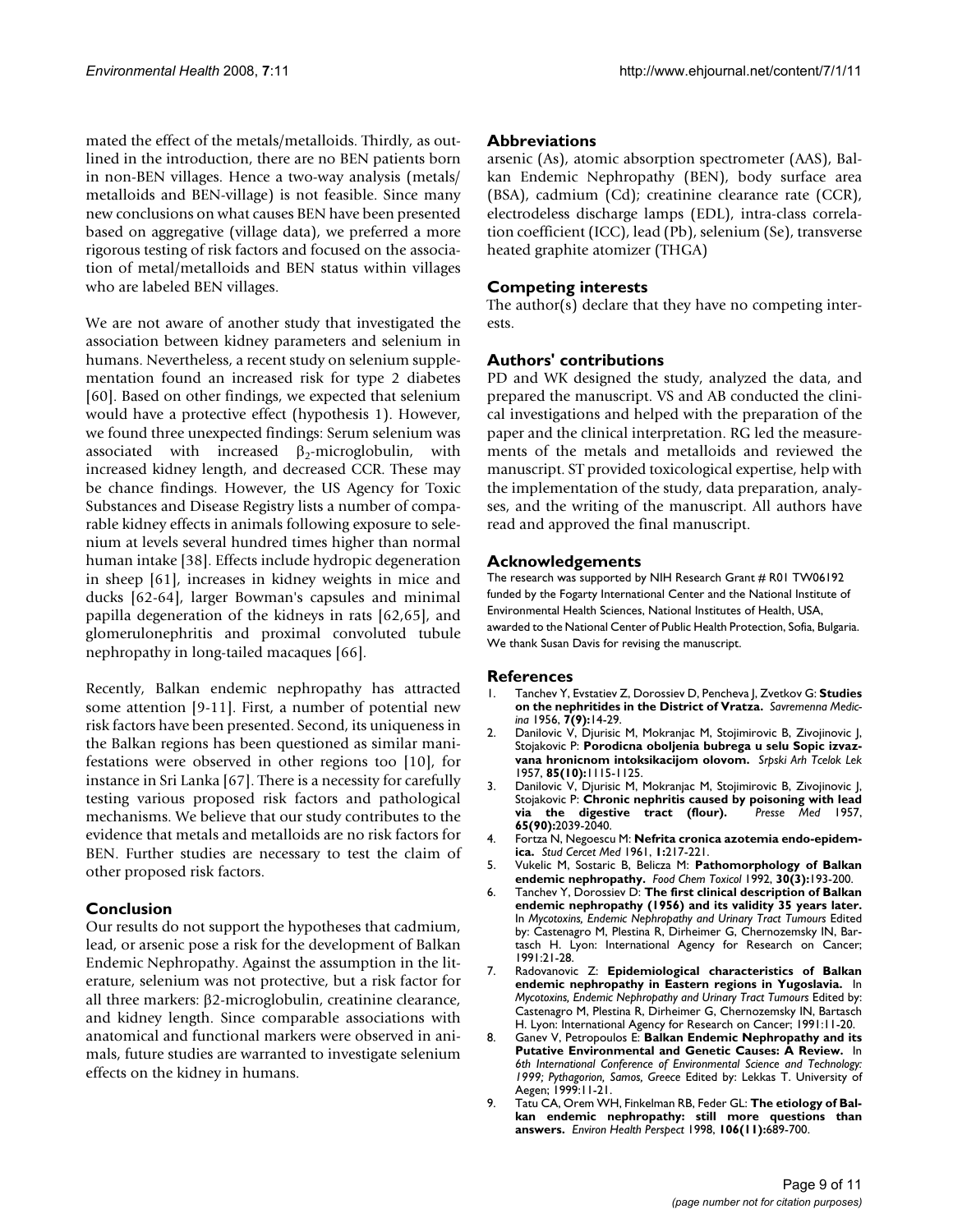mated the effect of the metals/metalloids. Thirdly, as outlined in the introduction, there are no BEN patients born in non-BEN villages. Hence a two-way analysis (metals/ metalloids and BEN-village) is not feasible. Since many new conclusions on what causes BEN have been presented based on aggregative (village data), we preferred a more rigorous testing of risk factors and focused on the association of metal/metalloids and BEN status within villages who are labeled BEN villages.

We are not aware of another study that investigated the association between kidney parameters and selenium in humans. Nevertheless, a recent study on selenium supplementation found an increased risk for type 2 diabetes [60]. Based on other findings, we expected that selenium would have a protective effect (hypothesis 1). However, we found three unexpected findings: Serum selenium was associated with increased  $\beta_2$ -microglobulin, with increased kidney length, and decreased CCR. These may be chance findings. However, the US Agency for Toxic Substances and Disease Registry lists a number of comparable kidney effects in animals following exposure to selenium at levels several hundred times higher than normal human intake [38]. Effects include hydropic degeneration in sheep [61], increases in kidney weights in mice and ducks [62-64], larger Bowman's capsules and minimal papilla degeneration of the kidneys in rats [62,65], and glomerulonephritis and proximal convoluted tubule nephropathy in long-tailed macaques [66].

Recently, Balkan endemic nephropathy has attracted some attention [9-11]. First, a number of potential new risk factors have been presented. Second, its uniqueness in the Balkan regions has been questioned as similar manifestations were observed in other regions too [10], for instance in Sri Lanka [67]. There is a necessity for carefully testing various proposed risk factors and pathological mechanisms. We believe that our study contributes to the evidence that metals and metalloids are no risk factors for BEN. Further studies are necessary to test the claim of other proposed risk factors.

#### **Conclusion**

Our results do not support the hypotheses that cadmium, lead, or arsenic pose a risk for the development of Balkan Endemic Nephropathy. Against the assumption in the literature, selenium was not protective, but a risk factor for all three markers: β2-microglobulin, creatinine clearance, and kidney length. Since comparable associations with anatomical and functional markers were observed in animals, future studies are warranted to investigate selenium effects on the kidney in humans.

#### **Abbreviations**

arsenic (As), atomic absorption spectrometer (AAS), Balkan Endemic Nephropathy (BEN), body surface area (BSA), cadmium (Cd); creatinine clearance rate (CCR), electrodeless discharge lamps (EDL), intra-class correlation coefficient (ICC), lead (Pb), selenium (Se), transverse heated graphite atomizer (THGA)

#### **Competing interests**

The author(s) declare that they have no competing interests.

#### **Authors' contributions**

PD and WK designed the study, analyzed the data, and prepared the manuscript. VS and AB conducted the clinical investigations and helped with the preparation of the paper and the clinical interpretation. RG led the measurements of the metals and metalloids and reviewed the manuscript. ST provided toxicological expertise, help with the implementation of the study, data preparation, analyses, and the writing of the manuscript. All authors have read and approved the final manuscript.

#### **Acknowledgements**

The research was supported by NIH Research Grant # R01 TW06192 funded by the Fogarty International Center and the National Institute of Environmental Health Sciences, National Institutes of Health, USA, awarded to the National Center of Public Health Protection, Sofia, Bulgaria. We thank Susan Davis for revising the manuscript.

#### **References**

- 1. Tanchev Y, Evstatiev Z, Dorossiev D, Pencheva J, Zvetkov G: **Studies on the nephritides in the District of Vratza.** *Savremenna Medicina* 1956, **7(9):**14-29.
- 2. Danilovic V, Djurisic M, Mokranjac M, Stojimirovic B, Zivojinovic J, Stojakovic P: **Porodicna oboljenia bubrega u selu Sopic izvazvana hronicnom intoksikacijom olovom.** *Srpski Arh Tcelok Lek* 1957, **85(10):**1115-1125.
- 3. Danilovic V, Djurisic M, Mokranjac M, Stojimirovic B, Zivojinovic J, Stojakovic P: **[Chronic nephritis caused by poisoning with lead](http://www.ncbi.nlm.nih.gov/entrez/query.fcgi?cmd=Retrieve&db=PubMed&dopt=Abstract&list_uids=13505667)** [via the digestive tract \(flour\).](http://www.ncbi.nlm.nih.gov/entrez/query.fcgi?cmd=Retrieve&db=PubMed&dopt=Abstract&list_uids=13505667) **65(90):**2039-2040.
- 4. Fortza N, Negoescu M: **Nefrita cronica azotemia endo-epidemica.** *Stud Cercet Med* 1961, **1:**217-221.
- 5. Vukelic M, Sostaric B, Belicza M: **[Pathomorphology of Balkan](http://www.ncbi.nlm.nih.gov/entrez/query.fcgi?cmd=Retrieve&db=PubMed&dopt=Abstract&list_uids=1618442) [endemic nephropathy.](http://www.ncbi.nlm.nih.gov/entrez/query.fcgi?cmd=Retrieve&db=PubMed&dopt=Abstract&list_uids=1618442)** *Food Chem Toxicol* 1992, **30(3):**193-200.
- 6. Tanchev Y, Dorossiev D: **The first clinical description of Balkan endemic nephropathy (1956) and its validity 35 years later.** In *Mycotoxins, Endemic Nephropathy and Urinary Tract Tumours* Edited by: Castenagro M, Plestina R, Dirheimer G, Chernozemsky IN, Bartasch H. Lyon: International Agency for Research on Cancer; 1991:21-28.
- 7. Radovanovic Z: **Epidemiological characteristics of Balkan endemic nephropathy in Eastern regions in Yugoslavia.** In *Mycotoxins, Endemic Nephropathy and Urinary Tract Tumours* Edited by: Castenagro M, Plestina R, Dirheimer G, Chernozemsky IN, Bartasch H. Lyon: International Agency for Research on Cancer; 1991:11-20.
- 8. Ganev V, Petropoulos E: **Balkan Endemic Nephropathy and its Putative Environmental and Genetic Causes: A Review.** In *6th International Conference of Environmental Science and Technology: 1999; Pythagorion, Samos, Greece* Edited by: Lekkas T. University of Aegen; 1999:11-21.
- 9. Tatu CA, Orem WH, Finkelman RB, Feder GL: **[The etiology of Bal](http://www.ncbi.nlm.nih.gov/entrez/query.fcgi?cmd=Retrieve&db=PubMed&dopt=Abstract&list_uids=9799184)[kan endemic nephropathy: still more questions than](http://www.ncbi.nlm.nih.gov/entrez/query.fcgi?cmd=Retrieve&db=PubMed&dopt=Abstract&list_uids=9799184) [answers.](http://www.ncbi.nlm.nih.gov/entrez/query.fcgi?cmd=Retrieve&db=PubMed&dopt=Abstract&list_uids=9799184)** *Environ Health Perspect* 1998, **106(11):**689-700.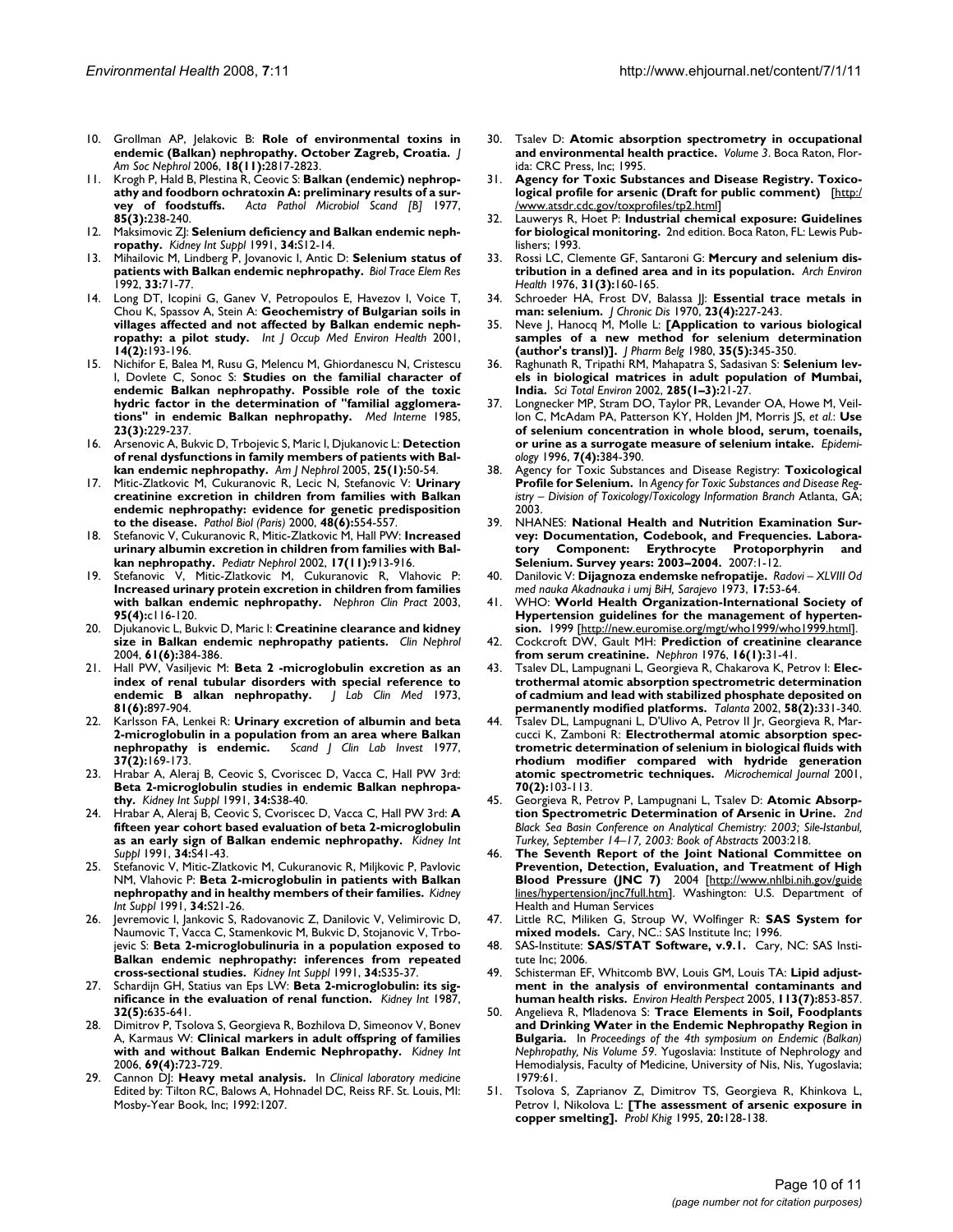- 10. Grollman AP, Jelakovic B: **[Role of environmental toxins in](http://www.ncbi.nlm.nih.gov/entrez/query.fcgi?cmd=Retrieve&db=PubMed&dopt=Abstract&list_uids=17942951) [endemic \(Balkan\) nephropathy. October Zagreb, Croatia.](http://www.ncbi.nlm.nih.gov/entrez/query.fcgi?cmd=Retrieve&db=PubMed&dopt=Abstract&list_uids=17942951)** *J Am Soc Nephrol* 2006, **18(11):**2817-2823.
- 11. Krogh P, Hald B, Plestina R, Ceovic S: **[Balkan \(endemic\) nephrop](http://www.ncbi.nlm.nih.gov/entrez/query.fcgi?cmd=Retrieve&db=PubMed&dopt=Abstract&list_uids=888703)[athy and foodborn ochratoxin A: preliminary results of a sur](http://www.ncbi.nlm.nih.gov/entrez/query.fcgi?cmd=Retrieve&db=PubMed&dopt=Abstract&list_uids=888703)[vey of foodstuffs.](http://www.ncbi.nlm.nih.gov/entrez/query.fcgi?cmd=Retrieve&db=PubMed&dopt=Abstract&list_uids=888703)** *Acta Pathol Microbiol Scand [B]* 1977, **85(3):**238-240.
- 12. Maksimovic Z|: [Selenium deficiency and Balkan endemic neph](http://www.ncbi.nlm.nih.gov/entrez/query.fcgi?cmd=Retrieve&db=PubMed&dopt=Abstract&list_uids=1762324)**[ropathy.](http://www.ncbi.nlm.nih.gov/entrez/query.fcgi?cmd=Retrieve&db=PubMed&dopt=Abstract&list_uids=1762324)** *Kidney Int Suppl* 1991, **34:**S12-14.
- 13. Mihailovic M, Lindberg P, Jovanovic I, Antic D: **[Selenium status of](http://www.ncbi.nlm.nih.gov/entrez/query.fcgi?cmd=Retrieve&db=PubMed&dopt=Abstract&list_uids=1379462) [patients with Balkan endemic nephropathy.](http://www.ncbi.nlm.nih.gov/entrez/query.fcgi?cmd=Retrieve&db=PubMed&dopt=Abstract&list_uids=1379462)** *Biol Trace Elem Res* 1992, **33:**71-77.
- 14. Long DT, Icopini G, Ganev V, Petropoulos E, Havezov I, Voice T, Chou K, Spassov A, Stein A: **[Geochemistry of Bulgarian soils in](http://www.ncbi.nlm.nih.gov/entrez/query.fcgi?cmd=Retrieve&db=PubMed&dopt=Abstract&list_uids=11548071) [villages affected and not affected by Balkan endemic neph](http://www.ncbi.nlm.nih.gov/entrez/query.fcgi?cmd=Retrieve&db=PubMed&dopt=Abstract&list_uids=11548071)[ropathy: a pilot study.](http://www.ncbi.nlm.nih.gov/entrez/query.fcgi?cmd=Retrieve&db=PubMed&dopt=Abstract&list_uids=11548071)** *Int J Occup Med Environ Health* 2001, **14(2):**193-196.
- 15. Nichifor E, Balea M, Rusu G, Melencu M, Ghiordanescu N, Cristescu I, Dovlete C, Sonoc S: **[Studies on the familial character of](http://www.ncbi.nlm.nih.gov/entrez/query.fcgi?cmd=Retrieve&db=PubMed&dopt=Abstract&list_uids=4048803) [endemic Balkan nephropathy. Possible role of the toxic](http://www.ncbi.nlm.nih.gov/entrez/query.fcgi?cmd=Retrieve&db=PubMed&dopt=Abstract&list_uids=4048803) hydric factor in the determination of "familial agglomera[tions" in endemic Balkan nephropathy.](http://www.ncbi.nlm.nih.gov/entrez/query.fcgi?cmd=Retrieve&db=PubMed&dopt=Abstract&list_uids=4048803)** *Med Interne* 1985, **23(3):**229-237.
- 16. Arsenovic A, Bukvic D, Trbojevic S, Maric I, Djukanovic L: **[Detection](http://www.ncbi.nlm.nih.gov/entrez/query.fcgi?cmd=Retrieve&db=PubMed&dopt=Abstract&list_uids=15731549) [of renal dysfunctions in family members of patients with Bal](http://www.ncbi.nlm.nih.gov/entrez/query.fcgi?cmd=Retrieve&db=PubMed&dopt=Abstract&list_uids=15731549)[kan endemic nephropathy.](http://www.ncbi.nlm.nih.gov/entrez/query.fcgi?cmd=Retrieve&db=PubMed&dopt=Abstract&list_uids=15731549)** *Am J Nephrol* 2005, **25(1):**50-54.
- 17. Mitic-Zlatkovic M, Cukuranovic R, Lecic N, Stefanovic V: **[Urinary](http://www.ncbi.nlm.nih.gov/entrez/query.fcgi?cmd=Retrieve&db=PubMed&dopt=Abstract&list_uids=10965533) [creatinine excretion in children from families with Balkan](http://www.ncbi.nlm.nih.gov/entrez/query.fcgi?cmd=Retrieve&db=PubMed&dopt=Abstract&list_uids=10965533) endemic nephropathy: evidence for genetic predisposition [to the disease.](http://www.ncbi.nlm.nih.gov/entrez/query.fcgi?cmd=Retrieve&db=PubMed&dopt=Abstract&list_uids=10965533)** *Pathol Biol (Paris)* 2000, **48(6):**554-557.
- 18. Stefanovic V, Cukuranovic R, Mitic-Zlatkovic M, Hall PW: **[Increased](http://www.ncbi.nlm.nih.gov/entrez/query.fcgi?cmd=Retrieve&db=PubMed&dopt=Abstract&list_uids=12432433) [urinary albumin excretion in children from families with Bal](http://www.ncbi.nlm.nih.gov/entrez/query.fcgi?cmd=Retrieve&db=PubMed&dopt=Abstract&list_uids=12432433)[kan nephropathy.](http://www.ncbi.nlm.nih.gov/entrez/query.fcgi?cmd=Retrieve&db=PubMed&dopt=Abstract&list_uids=12432433)** *Pediatr Nephrol* 2002, **17(11):**913-916.
- 19. Stefanovic V, Mitic-Zlatkovic M, Cukuranovic R, Vlahovic P: **[Increased urinary protein excretion in children from families](http://www.ncbi.nlm.nih.gov/entrez/query.fcgi?cmd=Retrieve&db=PubMed&dopt=Abstract&list_uids=14694272) [with balkan endemic nephropathy.](http://www.ncbi.nlm.nih.gov/entrez/query.fcgi?cmd=Retrieve&db=PubMed&dopt=Abstract&list_uids=14694272)** *Nephron Clin Pract* 2003, **95(4):**c116-120.
- 20. Djukanovic L, Bukvic D, Maric I: **[Creatinine clearance and kidney](http://www.ncbi.nlm.nih.gov/entrez/query.fcgi?cmd=Retrieve&db=PubMed&dopt=Abstract&list_uids=15224801) [size in Balkan endemic nephropathy patients.](http://www.ncbi.nlm.nih.gov/entrez/query.fcgi?cmd=Retrieve&db=PubMed&dopt=Abstract&list_uids=15224801)** *Clin Nephrol* 2004, **61(6):**384-386.
- 21. Hall PW, Vasiljevic M: **[Beta 2 -microglobulin excretion as an](http://www.ncbi.nlm.nih.gov/entrez/query.fcgi?cmd=Retrieve&db=PubMed&dopt=Abstract&list_uids=4122858) [index of renal tubular disorders with special reference to](http://www.ncbi.nlm.nih.gov/entrez/query.fcgi?cmd=Retrieve&db=PubMed&dopt=Abstract&list_uids=4122858) [endemic B alkan nephropathy.](http://www.ncbi.nlm.nih.gov/entrez/query.fcgi?cmd=Retrieve&db=PubMed&dopt=Abstract&list_uids=4122858)** *J Lab Clin Med* 1973, **81(6):**897-904.
- 22. Karlsson FA, Lenkei R: **[Urinary excretion of albumin and beta](http://www.ncbi.nlm.nih.gov/entrez/query.fcgi?cmd=Retrieve&db=PubMed&dopt=Abstract&list_uids=80021) [2-microglobulin in a population from an area where Balkan](http://www.ncbi.nlm.nih.gov/entrez/query.fcgi?cmd=Retrieve&db=PubMed&dopt=Abstract&list_uids=80021) [nephropathy is endemic.](http://www.ncbi.nlm.nih.gov/entrez/query.fcgi?cmd=Retrieve&db=PubMed&dopt=Abstract&list_uids=80021)** *Scand J Clin Lab Invest* 1977, **37(2):**169-173.
- 23. Hrabar A, Aleraj B, Ceovic S, Cvoriscec D, Vacca C, Hall PW 3rd: **[Beta 2-microglobulin studies in endemic Balkan nephropa](http://www.ncbi.nlm.nih.gov/entrez/query.fcgi?cmd=Retrieve&db=PubMed&dopt=Abstract&list_uids=1762330)[thy.](http://www.ncbi.nlm.nih.gov/entrez/query.fcgi?cmd=Retrieve&db=PubMed&dopt=Abstract&list_uids=1762330)** *Kidney Int Suppl* 1991, **34:**S38-40.
- 24. Hrabar A, Aleraj B, Ceovic S, Cvoriscec D, Vacca C, Hall PW 3rd: **[A](http://www.ncbi.nlm.nih.gov/entrez/query.fcgi?cmd=Retrieve&db=PubMed&dopt=Abstract&list_uids=1762332) [fifteen year cohort based evaluation of beta 2-microglobulin](http://www.ncbi.nlm.nih.gov/entrez/query.fcgi?cmd=Retrieve&db=PubMed&dopt=Abstract&list_uids=1762332) [as an early sign of Balkan endemic nephropathy.](http://www.ncbi.nlm.nih.gov/entrez/query.fcgi?cmd=Retrieve&db=PubMed&dopt=Abstract&list_uids=1762332)** *Kidney Int Suppl* 1991, **34:**S41-43.
- 25. Stefanovic V, Mitic-Zlatkovic M, Cukuranovic R, Miljkovic P, Pavlovic NM, Vlahovic P: **[Beta 2-microglobulin in patients with Balkan](http://www.ncbi.nlm.nih.gov/entrez/query.fcgi?cmd=Retrieve&db=PubMed&dopt=Abstract&list_uids=1762327) [nephropathy and in healthy members of their families.](http://www.ncbi.nlm.nih.gov/entrez/query.fcgi?cmd=Retrieve&db=PubMed&dopt=Abstract&list_uids=1762327)** *Kidney Int Suppl* 1991, **34:**S21-26.
- 26. Jevremovic I, Jankovic S, Radovanovic Z, Danilovic V, Velimirovic D, Naumovic T, Vacca C, Stamenkovic M, Bukvic D, Stojanovic V, Trbojevic S: **[Beta 2-microglobulinuria in a population exposed to](http://www.ncbi.nlm.nih.gov/entrez/query.fcgi?cmd=Retrieve&db=PubMed&dopt=Abstract&list_uids=1762329) [Balkan endemic nephropathy: inferences from repeated](http://www.ncbi.nlm.nih.gov/entrez/query.fcgi?cmd=Retrieve&db=PubMed&dopt=Abstract&list_uids=1762329) [cross-sectional studies.](http://www.ncbi.nlm.nih.gov/entrez/query.fcgi?cmd=Retrieve&db=PubMed&dopt=Abstract&list_uids=1762329)** *Kidney Int Suppl* 1991, **34:**S35-37.
- 27. Schardijn GH, Statius van Eps LW: **[Beta 2-microglobulin: its sig](http://www.ncbi.nlm.nih.gov/entrez/query.fcgi?cmd=Retrieve&db=PubMed&dopt=Abstract&list_uids=3323598)[nificance in the evaluation of renal function.](http://www.ncbi.nlm.nih.gov/entrez/query.fcgi?cmd=Retrieve&db=PubMed&dopt=Abstract&list_uids=3323598)** *Kidney Int* 1987, **32(5):**635-641.
- 28. Dimitrov P, Tsolova S, Georgieva R, Bozhilova D, Simeonov V, Bonev A, Karmaus W: **[Clinical markers in adult offspring of families](http://www.ncbi.nlm.nih.gov/entrez/query.fcgi?cmd=Retrieve&db=PubMed&dopt=Abstract&list_uids=16407881) [with and without Balkan Endemic Nephropathy.](http://www.ncbi.nlm.nih.gov/entrez/query.fcgi?cmd=Retrieve&db=PubMed&dopt=Abstract&list_uids=16407881)** *Kidney Int* 2006, **69(4):**723-729.
- 29. Cannon DJ: **Heavy metal analysis.** In *Clinical laboratory medicine* Edited by: Tilton RC, Balows A, Hohnadel DC, Reiss RF. St. Louis, MI: Mosby-Year Book, Inc; 1992:1207.
- 30. Tsalev D: **Atomic absorption spectrometry in occupational and environmental health practice.** *Volume 3*. Boca Raton, Florida: CRC Press, Inc; 1995.
- 31. **Agency for Toxic Substances and Disease Registry. Toxicological profile for arsenic (Draft for public comment)** [[http:/](http://www.atsdr.cdc.gov/toxprofiles/tp2.html) [/www.atsdr.cdc.gov/toxprofiles/tp2.html](http://www.atsdr.cdc.gov/toxprofiles/tp2.html)]
- 32. Lauwerys R, Hoet P: **Industrial chemical exposure: Guidelines for biological monitoring.** 2nd edition. Boca Raton, FL: Lewis Publishers; 1993.
- 33. Rossi LC, Clemente GF, Santaroni G: **[Mercury and selenium dis](http://www.ncbi.nlm.nih.gov/entrez/query.fcgi?cmd=Retrieve&db=PubMed&dopt=Abstract&list_uids=1275561)[tribution in a defined area and in its population.](http://www.ncbi.nlm.nih.gov/entrez/query.fcgi?cmd=Retrieve&db=PubMed&dopt=Abstract&list_uids=1275561)** *Arch Environ Health* 1976, **31(3):**160-165.
- 34. Schroeder HA, Frost DV, Balassa JJ: **[Essential trace metals in](http://www.ncbi.nlm.nih.gov/entrez/query.fcgi?cmd=Retrieve&db=PubMed&dopt=Abstract&list_uids=4926392) [man: selenium.](http://www.ncbi.nlm.nih.gov/entrez/query.fcgi?cmd=Retrieve&db=PubMed&dopt=Abstract&list_uids=4926392)** *J Chronic Dis* 1970, **23(4):**227-243.
- 35. Neve J, Hanocq M, Molle L: **[\[Application to various biological](http://www.ncbi.nlm.nih.gov/entrez/query.fcgi?cmd=Retrieve&db=PubMed&dopt=Abstract&list_uids=7452439) [samples of a new method for selenium determination](http://www.ncbi.nlm.nih.gov/entrez/query.fcgi?cmd=Retrieve&db=PubMed&dopt=Abstract&list_uids=7452439) [\(author's transl\)\].](http://www.ncbi.nlm.nih.gov/entrez/query.fcgi?cmd=Retrieve&db=PubMed&dopt=Abstract&list_uids=7452439)** *J Pharm Belg* 1980, **35(5):**345-350.
- 36. Raghunath R, Tripathi RM, Mahapatra S, Sadasivan S: **[Selenium lev](http://www.ncbi.nlm.nih.gov/entrez/query.fcgi?cmd=Retrieve&db=PubMed&dopt=Abstract&list_uids=11874044)[els in biological matrices in adult population of Mumbai,](http://www.ncbi.nlm.nih.gov/entrez/query.fcgi?cmd=Retrieve&db=PubMed&dopt=Abstract&list_uids=11874044) [India.](http://www.ncbi.nlm.nih.gov/entrez/query.fcgi?cmd=Retrieve&db=PubMed&dopt=Abstract&list_uids=11874044)** *Sci Total Environ* 2002, **285(1–3):**21-27.
- 37. Longnecker MP, Stram DO, Taylor PR, Levander OA, Howe M, Veillon C, McAdam PA, Patterson KY, Holden JM, Morris JS, *et al.*: **[Use](http://www.ncbi.nlm.nih.gov/entrez/query.fcgi?cmd=Retrieve&db=PubMed&dopt=Abstract&list_uids=8793364) [of selenium concentration in whole blood, serum, toenails,](http://www.ncbi.nlm.nih.gov/entrez/query.fcgi?cmd=Retrieve&db=PubMed&dopt=Abstract&list_uids=8793364) [or urine as a surrogate measure of selenium intake.](http://www.ncbi.nlm.nih.gov/entrez/query.fcgi?cmd=Retrieve&db=PubMed&dopt=Abstract&list_uids=8793364)** *Epidemiology* 1996, **7(4):**384-390.
- 38. Agency for Toxic Substances and Disease Registry: **Toxicological Profile for Selenium.** In *Agency for Toxic Substances and Disease Registry – Division of Toxicology/Toxicology Information Branch* Atlanta, GA; 2003.
- 39. NHANES: **National Health and Nutrition Examination Survey: Documentation, Codebook, and Frequencies. Laboratory Component: Erythrocyte Protoporphyrin and Selenium. Survey years: 2003–2004.** 2007:1-12.
- 40. Danilovic V: **Dijagnoza endemske nefropatije.** *Radovi XLVIII Od med nauka Akadnauka i umj BiH, Sarajevo* 1973, **17:**53-64.
- 41. WHO: **World Health Organization-International Society of Hypertension guidelines for the management of hypertension.** 1999 [<http://new.euromise.org/mgt/who1999/who1999.html>].
- 42. Cockcroft DW, Gault MH: **[Prediction of creatinine clearance](http://www.ncbi.nlm.nih.gov/entrez/query.fcgi?cmd=Retrieve&db=PubMed&dopt=Abstract&list_uids=1244564) [from serum creatinine.](http://www.ncbi.nlm.nih.gov/entrez/query.fcgi?cmd=Retrieve&db=PubMed&dopt=Abstract&list_uids=1244564)** *Nephron* 1976, **16(1):**31-41.
- 43. Tsalev DL, Lampugnani L, Georgieva R, Chakarova K, Petrov I: **Electrothermal atomic absorption spectrometric determination of cadmium and lead with stabilized phosphate deposited on permanently modified platforms.** *Talanta* 2002, **58(2):**331-340.
- Tsalev DL, Lampugnani L, D'Ulivo A, Petrov II Jr, Georgieva R, Marcucci K, Zamboni R: **Electrothermal atomic absorption spectrometric determination of selenium in biological fluids with rhodium modifier compared with hydride generation atomic spectrometric techniques.** *Microchemical Journal* 2001, **70(2):**103-113.
- 45. Georgieva R, Petrov P, Lampugnani L, Tsalev D: **Atomic Absorption Spectrometric Determination of Arsenic in Urine.** *2nd Black Sea Basin Conference on Analytical Chemistry: 2003; Sile-Istanbul, Turkey, September 14–17, 2003: Book of Abstracts* 2003:218.
- 46. **The Seventh Report of the Joint National Committee on Prevention, Detection, Evaluation, and Treatment of High Blood Pressure (JNC 7)** 2004 [\[http://www.nhlbi.nih.gov/guide](http://www.nhlbi.nih.gov/guidelines/hypertension/jnc7full.htm) [lines/hypertension/jnc7full.htm\]](http://www.nhlbi.nih.gov/guidelines/hypertension/jnc7full.htm). Washington: U.S. Department of Health and Human Services
- 47. Little RC, Miliken G, Stroup W, Wolfinger R: **SAS System for mixed models.** Cary, NC.: SAS Institute Inc; 1996.
- 48. SAS-Institute: **SAS/STAT Software, v.9.1.** Cary, NC: SAS Institute Inc; 2006.
- 49. Schisterman EF, Whitcomb BW, Louis GM, Louis TA: **[Lipid adjust](http://www.ncbi.nlm.nih.gov/entrez/query.fcgi?cmd=Retrieve&db=PubMed&dopt=Abstract&list_uids=16002372)[ment in the analysis of environmental contaminants and](http://www.ncbi.nlm.nih.gov/entrez/query.fcgi?cmd=Retrieve&db=PubMed&dopt=Abstract&list_uids=16002372) [human health risks.](http://www.ncbi.nlm.nih.gov/entrez/query.fcgi?cmd=Retrieve&db=PubMed&dopt=Abstract&list_uids=16002372)** *Environ Health Perspect* 2005, **113(7):**853-857.
- 50. Angelieva R, Mladenova S: **Trace Elements in Soil, Foodplants and Drinking Water in the Endemic Nephropathy Region in Bulgaria.** In *Proceedings of the 4th symposium on Endemic (Balkan) Nephropathy, Nis Volume 59*. Yugoslavia: Institute of Nephrology and Hemodialysis, Faculty of Medicine, University of Nis, Nis, Yugoslavia; 1979:61.
- 51. Tsolova S, Zaprianov Z, Dimitrov TS, Georgieva R, Khinkova L, Petrov I, Nikolova L: **[\[The assessment of arsenic exposure in](http://www.ncbi.nlm.nih.gov/entrez/query.fcgi?cmd=Retrieve&db=PubMed&dopt=Abstract&list_uids=8524736) [copper smelting\].](http://www.ncbi.nlm.nih.gov/entrez/query.fcgi?cmd=Retrieve&db=PubMed&dopt=Abstract&list_uids=8524736)** *Probl Khig* 1995, **20:**128-138.